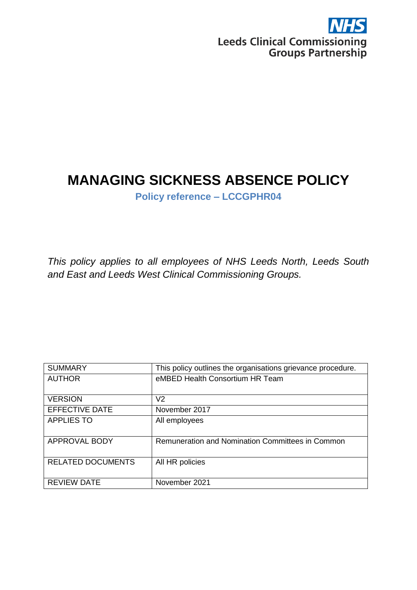

# **MANAGING SICKNESS ABSENCE POLICY**

**Policy reference – LCCGPHR04**

*This policy applies to all employees of NHS Leeds North, Leeds South and East and Leeds West Clinical Commissioning Groups.*

| <b>SUMMARY</b>           | This policy outlines the organisations grievance procedure. |
|--------------------------|-------------------------------------------------------------|
| <b>AUTHOR</b>            | eMBED Health Consortium HR Team                             |
|                          |                                                             |
| <b>VERSION</b>           | V <sub>2</sub>                                              |
| <b>EFFECTIVE DATE</b>    | November 2017                                               |
| <b>APPLIES TO</b>        | All employees                                               |
| APPROVAL BODY            | Remuneration and Nomination Committees in Common            |
| <b>RELATED DOCUMENTS</b> | All HR policies                                             |
| <b>REVIEW DATE</b>       | November 2021                                               |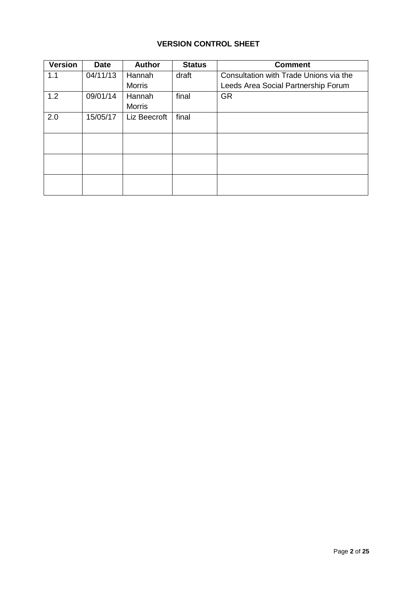# **VERSION CONTROL SHEET**

| <b>Version</b> | <b>Date</b> | <b>Author</b> | <b>Status</b> | <b>Comment</b>                         |
|----------------|-------------|---------------|---------------|----------------------------------------|
| 1.1            | 04/11/13    | Hannah        | draft         | Consultation with Trade Unions via the |
|                |             | <b>Morris</b> |               | Leeds Area Social Partnership Forum    |
| 1.2            | 09/01/14    | Hannah        | final         | <b>GR</b>                              |
|                |             | <b>Morris</b> |               |                                        |
| 2.0            | 15/05/17    | Liz Beecroft  | final         |                                        |
|                |             |               |               |                                        |
|                |             |               |               |                                        |
|                |             |               |               |                                        |
|                |             |               |               |                                        |
|                |             |               |               |                                        |
|                |             |               |               |                                        |
|                |             |               |               |                                        |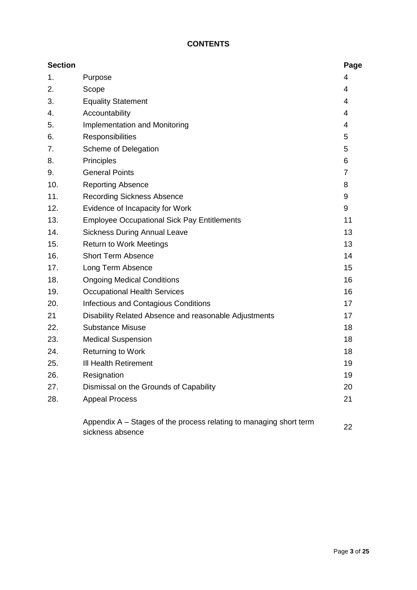# **CONTENTS**

| <b>Section</b> |                                                                                        | Page |
|----------------|----------------------------------------------------------------------------------------|------|
| 1.             | Purpose                                                                                | 4    |
| 2.             | Scope                                                                                  | 4    |
| 3.             | <b>Equality Statement</b>                                                              | 4    |
| 4.             | Accountability                                                                         | 4    |
| 5.             | <b>Implementation and Monitoring</b>                                                   | 4    |
| 6.             | Responsibilities                                                                       | 5    |
| 7.             | Scheme of Delegation                                                                   | 5    |
| 8.             | Principles                                                                             | 6    |
| 9.             | <b>General Points</b>                                                                  | 7    |
| 10.            | <b>Reporting Absence</b>                                                               | 8    |
| 11.            | <b>Recording Sickness Absence</b>                                                      | 9    |
| 12.            | Evidence of Incapacity for Work                                                        | 9    |
| 13.            | <b>Employee Occupational Sick Pay Entitlements</b>                                     | 11   |
| 14.            | <b>Sickness During Annual Leave</b>                                                    | 13   |
| 15.            | <b>Return to Work Meetings</b>                                                         | 13   |
| 16.            | <b>Short Term Absence</b>                                                              | 14   |
| 17.            | Long Term Absence                                                                      | 15   |
| 18.            | <b>Ongoing Medical Conditions</b>                                                      | 16   |
| 19.            | <b>Occupational Health Services</b>                                                    | 16   |
| 20.            | <b>Infectious and Contagious Conditions</b>                                            | 17   |
| 21             | Disability Related Absence and reasonable Adjustments                                  | 17   |
| 22.            | <b>Substance Misuse</b>                                                                | 18   |
| 23.            | <b>Medical Suspension</b>                                                              | 18   |
| 24.            | <b>Returning to Work</b>                                                               | 18   |
| 25.            | III Health Retirement                                                                  | 19   |
| 26.            | Resignation                                                                            | 19   |
| 27.            | Dismissal on the Grounds of Capability                                                 | 20   |
| 28.            | <b>Appeal Process</b>                                                                  | 21   |
|                | Appendix A – Stages of the process relating to managing short term<br>sickness absence | 22   |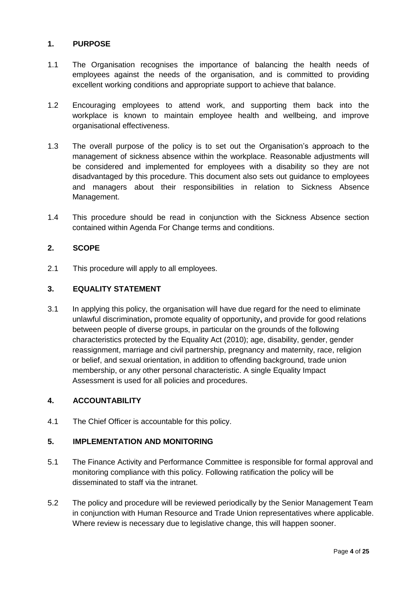#### **1. PURPOSE**

- 1.1 The Organisation recognises the importance of balancing the health needs of employees against the needs of the organisation, and is committed to providing excellent working conditions and appropriate support to achieve that balance.
- 1.2 Encouraging employees to attend work, and supporting them back into the workplace is known to maintain employee health and wellbeing, and improve organisational effectiveness.
- 1.3 The overall purpose of the policy is to set out the Organisation's approach to the management of sickness absence within the workplace. Reasonable adjustments will be considered and implemented for employees with a disability so they are not disadvantaged by this procedure. This document also sets out guidance to employees and managers about their responsibilities in relation to Sickness Absence Management.
- 1.4 This procedure should be read in conjunction with the Sickness Absence section contained within Agenda For Change terms and conditions.

#### **2. SCOPE**

2.1 This procedure will apply to all employees.

#### **3. EQUALITY STATEMENT**

3.1 In applying this policy, the organisation will have due regard for the need to eliminate unlawful discrimination**,** promote equality of opportunity**,** and provide for good relations between people of diverse groups, in particular on the grounds of the following characteristics protected by the Equality Act (2010); age, disability, gender, gender reassignment, marriage and civil partnership, pregnancy and maternity, race, religion or belief, and sexual orientation, in addition to offending background, trade union membership, or any other personal characteristic. A single Equality Impact Assessment is used for all policies and procedures.

#### **4. ACCOUNTABILITY**

4.1 The Chief Officer is accountable for this policy.

## **5. IMPLEMENTATION AND MONITORING**

- 5.1 The Finance Activity and Performance Committee is responsible for formal approval and monitoring compliance with this policy. Following ratification the policy will be disseminated to staff via the intranet.
- 5.2 The policy and procedure will be reviewed periodically by the Senior Management Team in conjunction with Human Resource and Trade Union representatives where applicable. Where review is necessary due to legislative change, this will happen sooner.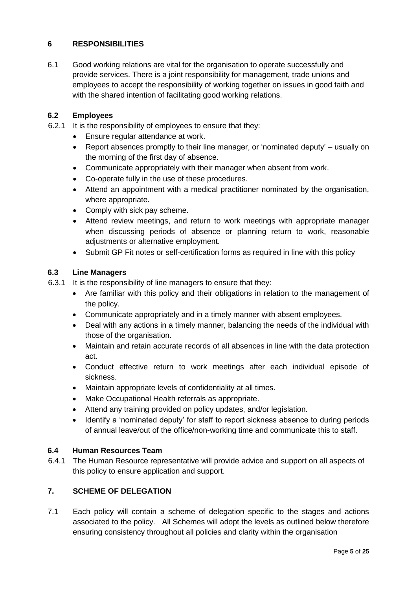## **6 RESPONSIBILITIES**

6.1 Good working relations are vital for the organisation to operate successfully and provide services. There is a joint responsibility for management, trade unions and employees to accept the responsibility of working together on issues in good faith and with the shared intention of facilitating good working relations.

#### **6.2 Employees**

- 6.2.1 It is the responsibility of employees to ensure that they:
	- Ensure regular attendance at work.
	- Report absences promptly to their line manager, or 'nominated deputy' usually on the morning of the first day of absence.
	- Communicate appropriately with their manager when absent from work.
	- Co-operate fully in the use of these procedures.
	- Attend an appointment with a medical practitioner nominated by the organisation, where appropriate.
	- Comply with sick pay scheme.
	- Attend review meetings, and return to work meetings with appropriate manager when discussing periods of absence or planning return to work, reasonable adjustments or alternative employment.
	- Submit GP Fit notes or self-certification forms as required in line with this policy

#### **6.3 Line Managers**

- 6.3.1 It is the responsibility of line managers to ensure that they:
	- Are familiar with this policy and their obligations in relation to the management of the policy.
	- Communicate appropriately and in a timely manner with absent employees.
	- Deal with any actions in a timely manner, balancing the needs of the individual with those of the organisation.
	- Maintain and retain accurate records of all absences in line with the data protection act.
	- Conduct effective return to work meetings after each individual episode of sickness.
	- Maintain appropriate levels of confidentiality at all times.
	- Make Occupational Health referrals as appropriate.
	- Attend any training provided on policy updates, and/or legislation.
	- Identify a 'nominated deputy' for staff to report sickness absence to during periods of annual leave/out of the office/non-working time and communicate this to staff.

#### **6.4 Human Resources Team**

6.4.1 The Human Resource representative will provide advice and support on all aspects of this policy to ensure application and support.

## **7. SCHEME OF DELEGATION**

7.1 Each policy will contain a scheme of delegation specific to the stages and actions associated to the policy. All Schemes will adopt the levels as outlined below therefore ensuring consistency throughout all policies and clarity within the organisation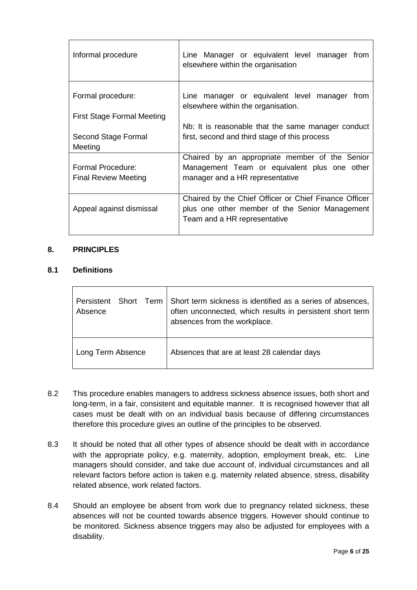| Line Manager or equivalent level manager from<br>elsewhere within the organisation                                                      |  |  |  |
|-----------------------------------------------------------------------------------------------------------------------------------------|--|--|--|
| Line manager or equivalent level manager from<br>elsewhere within the organisation.                                                     |  |  |  |
| Nb: It is reasonable that the same manager conduct                                                                                      |  |  |  |
| first, second and third stage of this process                                                                                           |  |  |  |
| Chaired by an appropriate member of the Senior<br>Management Team or equivalent plus one other<br>manager and a HR representative       |  |  |  |
| Chaired by the Chief Officer or Chief Finance Officer<br>plus one other member of the Senior Management<br>Team and a HR representative |  |  |  |
|                                                                                                                                         |  |  |  |

#### **8. PRINCIPLES**

#### **8.1 Definitions**

| Persistent        | Short term sickness is identified as a series of absences, |
|-------------------|------------------------------------------------------------|
| Short Term        | often unconnected, which results in persistent short term  |
| Absence           | absences from the workplace.                               |
| Long Term Absence | Absences that are at least 28 calendar days                |

- 8.2 This procedure enables managers to address sickness absence issues, both short and long-term, in a fair, consistent and equitable manner. It is recognised however that all cases must be dealt with on an individual basis because of differing circumstances therefore this procedure gives an outline of the principles to be observed.
- 8.3 It should be noted that all other types of absence should be dealt with in accordance with the appropriate policy, e.g. maternity, adoption, employment break, etc. Line managers should consider, and take due account of, individual circumstances and all relevant factors before action is taken e.g. maternity related absence, stress, disability related absence, work related factors.
- 8.4 Should an employee be absent from work due to pregnancy related sickness, these absences will not be counted towards absence triggers. However should continue to be monitored. Sickness absence triggers may also be adjusted for employees with a disability.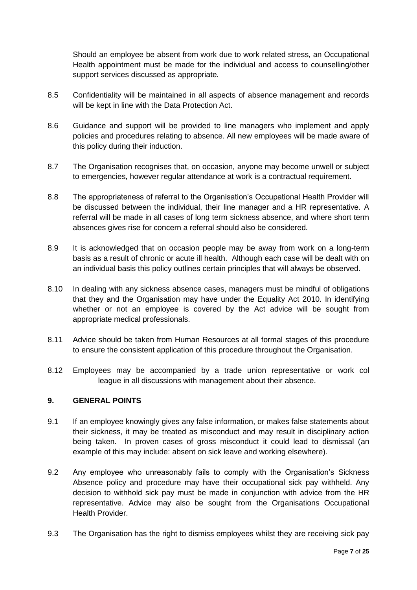Should an employee be absent from work due to work related stress, an Occupational Health appointment must be made for the individual and access to counselling/other support services discussed as appropriate.

- 8.5 Confidentiality will be maintained in all aspects of absence management and records will be kept in line with the Data Protection Act.
- 8.6 Guidance and support will be provided to line managers who implement and apply policies and procedures relating to absence. All new employees will be made aware of this policy during their induction.
- 8.7 The Organisation recognises that, on occasion, anyone may become unwell or subject to emergencies, however regular attendance at work is a contractual requirement.
- 8.8 The appropriateness of referral to the Organisation's Occupational Health Provider will be discussed between the individual, their line manager and a HR representative. A referral will be made in all cases of long term sickness absence, and where short term absences gives rise for concern a referral should also be considered.
- 8.9 It is acknowledged that on occasion people may be away from work on a long-term basis as a result of chronic or acute ill health. Although each case will be dealt with on an individual basis this policy outlines certain principles that will always be observed.
- 8.10 In dealing with any sickness absence cases, managers must be mindful of obligations that they and the Organisation may have under the Equality Act 2010. In identifying whether or not an employee is covered by the Act advice will be sought from appropriate medical professionals.
- 8.11 Advice should be taken from Human Resources at all formal stages of this procedure to ensure the consistent application of this procedure throughout the Organisation.
- 8.12 Employees may be accompanied by a trade union representative or work col league in all discussions with management about their absence.

#### **9. GENERAL POINTS**

- 9.1 If an employee knowingly gives any false information, or makes false statements about their sickness, it may be treated as misconduct and may result in disciplinary action being taken. In proven cases of gross misconduct it could lead to dismissal (an example of this may include: absent on sick leave and working elsewhere).
- 9.2 Any employee who unreasonably fails to comply with the Organisation's Sickness Absence policy and procedure may have their occupational sick pay withheld. Any decision to withhold sick pay must be made in conjunction with advice from the HR representative. Advice may also be sought from the Organisations Occupational Health Provider.
- 9.3 The Organisation has the right to dismiss employees whilst they are receiving sick pay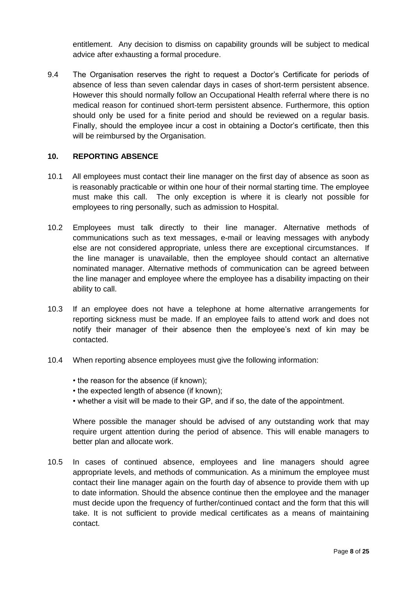entitlement. Any decision to dismiss on capability grounds will be subject to medical advice after exhausting a formal procedure.

9.4 The Organisation reserves the right to request a Doctor's Certificate for periods of absence of less than seven calendar days in cases of short-term persistent absence. However this should normally follow an Occupational Health referral where there is no medical reason for continued short-term persistent absence. Furthermore, this option should only be used for a finite period and should be reviewed on a regular basis. Finally, should the employee incur a cost in obtaining a Doctor's certificate, then this will be reimbursed by the Organisation.

#### **10. REPORTING ABSENCE**

- 10.1 All employees must contact their line manager on the first day of absence as soon as is reasonably practicable or within one hour of their normal starting time. The employee must make this call. The only exception is where it is clearly not possible for employees to ring personally, such as admission to Hospital.
- 10.2 Employees must talk directly to their line manager. Alternative methods of communications such as text messages, e-mail or leaving messages with anybody else are not considered appropriate, unless there are exceptional circumstances. If the line manager is unavailable, then the employee should contact an alternative nominated manager. Alternative methods of communication can be agreed between the line manager and employee where the employee has a disability impacting on their ability to call.
- 10.3 If an employee does not have a telephone at home alternative arrangements for reporting sickness must be made. If an employee fails to attend work and does not notify their manager of their absence then the employee's next of kin may be contacted.
- 10.4 When reporting absence employees must give the following information:
	- the reason for the absence (if known);
	- the expected length of absence (if known);
	- whether a visit will be made to their GP, and if so, the date of the appointment.

Where possible the manager should be advised of any outstanding work that may require urgent attention during the period of absence. This will enable managers to better plan and allocate work.

10.5 In cases of continued absence, employees and line managers should agree appropriate levels, and methods of communication. As a minimum the employee must contact their line manager again on the fourth day of absence to provide them with up to date information. Should the absence continue then the employee and the manager must decide upon the frequency of further/continued contact and the form that this will take. It is not sufficient to provide medical certificates as a means of maintaining contact.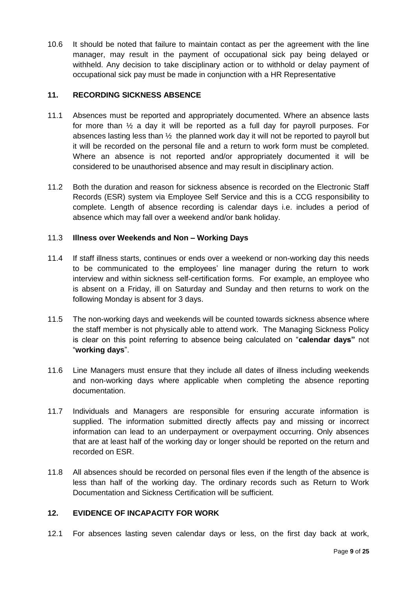10.6 It should be noted that failure to maintain contact as per the agreement with the line manager, may result in the payment of occupational sick pay being delayed or withheld. Any decision to take disciplinary action or to withhold or delay payment of occupational sick pay must be made in conjunction with a HR Representative

#### **11. RECORDING SICKNESS ABSENCE**

- 11.1 Absences must be reported and appropriately documented. Where an absence lasts for more than  $\frac{1}{2}$  a day it will be reported as a full day for payroll purposes. For absences lasting less than  $\frac{1}{2}$  the planned work day it will not be reported to payroll but it will be recorded on the personal file and a return to work form must be completed. Where an absence is not reported and/or appropriately documented it will be considered to be unauthorised absence and may result in disciplinary action.
- 11.2 Both the duration and reason for sickness absence is recorded on the Electronic Staff Records (ESR) system via Employee Self Service and this is a CCG responsibility to complete. Length of absence recording is calendar days i.e. includes a period of absence which may fall over a weekend and/or bank holiday.

#### 11.3 **Illness over Weekends and Non – Working Days**

- 11.4 If staff illness starts, continues or ends over a weekend or non-working day this needs to be communicated to the employees' line manager during the return to work interview and within sickness self-certification forms. For example, an employee who is absent on a Friday, ill on Saturday and Sunday and then returns to work on the following Monday is absent for 3 days.
- 11.5 The non-working days and weekends will be counted towards sickness absence where the staff member is not physically able to attend work. The Managing Sickness Policy is clear on this point referring to absence being calculated on "**calendar days"** not "**working days**".
- 11.6 Line Managers must ensure that they include all dates of illness including weekends and non-working days where applicable when completing the absence reporting documentation.
- 11.7 Individuals and Managers are responsible for ensuring accurate information is supplied. The information submitted directly affects pay and missing or incorrect information can lead to an underpayment or overpayment occurring. Only absences that are at least half of the working day or longer should be reported on the return and recorded on ESR.
- 11.8 All absences should be recorded on personal files even if the length of the absence is less than half of the working day. The ordinary records such as Return to Work Documentation and Sickness Certification will be sufficient.

## **12. EVIDENCE OF INCAPACITY FOR WORK**

12.1 For absences lasting seven calendar days or less, on the first day back at work,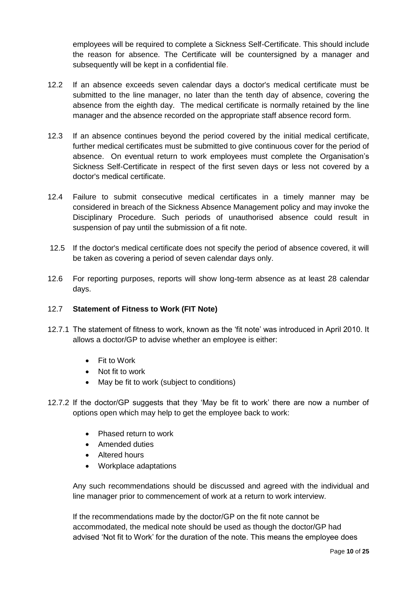employees will be required to complete a Sickness Self-Certificate. This should include the reason for absence. The Certificate will be countersigned by a manager and subsequently will be kept in a confidential file.

- 12.2 If an absence exceeds seven calendar days a doctor's medical certificate must be submitted to the line manager, no later than the tenth day of absence, covering the absence from the eighth day. The medical certificate is normally retained by the line manager and the absence recorded on the appropriate staff absence record form.
- 12.3 If an absence continues beyond the period covered by the initial medical certificate, further medical certificates must be submitted to give continuous cover for the period of absence. On eventual return to work employees must complete the Organisation's Sickness Self-Certificate in respect of the first seven days or less not covered by a doctor's medical certificate.
- 12.4 Failure to submit consecutive medical certificates in a timely manner may be considered in breach of the Sickness Absence Management policy and may invoke the Disciplinary Procedure. Such periods of unauthorised absence could result in suspension of pay until the submission of a fit note.
- 12.5 If the doctor's medical certificate does not specify the period of absence covered, it will be taken as covering a period of seven calendar days only.
- 12.6 For reporting purposes, reports will show long-term absence as at least 28 calendar days.

#### 12.7 **Statement of Fitness to Work (FIT Note)**

- 12.7.1 The statement of fitness to work, known as the 'fit note' was introduced in April 2010. It allows a doctor/GP to advise whether an employee is either:
	- Fit to Work
	- Not fit to work
	- May be fit to work (subject to conditions)
- 12.7.2 If the doctor/GP suggests that they 'May be fit to work' there are now a number of options open which may help to get the employee back to work:
	- Phased return to work
	- Amended duties
	- Altered hours
	- Workplace adaptations

Any such recommendations should be discussed and agreed with the individual and line manager prior to commencement of work at a return to work interview.

If the recommendations made by the doctor/GP on the fit note cannot be accommodated, the medical note should be used as though the doctor/GP had advised 'Not fit to Work' for the duration of the note. This means the employee does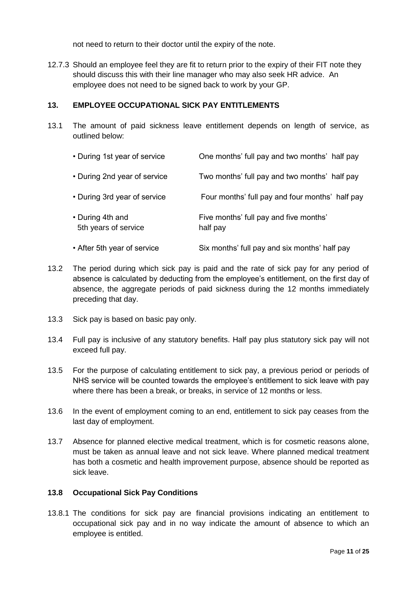not need to return to their doctor until the expiry of the note.

12.7.3 Should an employee feel they are fit to return prior to the expiry of their FIT note they should discuss this with their line manager who may also seek HR advice. An employee does not need to be signed back to work by your GP.

#### **13. EMPLOYEE OCCUPATIONAL SICK PAY ENTITLEMENTS**

13.1 The amount of paid sickness leave entitlement depends on length of service, as outlined below:

| • During 1st year of service             | One months' full pay and two months' half pay      |
|------------------------------------------|----------------------------------------------------|
| • During 2nd year of service             | Two months' full pay and two months' half pay      |
| • During 3rd year of service             | Four months' full pay and four months' half pay    |
| • During 4th and<br>5th years of service | Five months' full pay and five months'<br>half pay |
| • After 5th year of service              | Six months' full pay and six months' half pay      |

- 13.2 The period during which sick pay is paid and the rate of sick pay for any period of absence is calculated by deducting from the employee's entitlement, on the first day of absence, the aggregate periods of paid sickness during the 12 months immediately preceding that day.
- 13.3 Sick pay is based on basic pay only.
- 13.4 Full pay is inclusive of any statutory benefits. Half pay plus statutory sick pay will not exceed full pay.
- 13.5 For the purpose of calculating entitlement to sick pay, a previous period or periods of NHS service will be counted towards the employee's entitlement to sick leave with pay where there has been a break, or breaks, in service of 12 months or less.
- 13.6 In the event of employment coming to an end, entitlement to sick pay ceases from the last day of employment.
- 13.7 Absence for planned elective medical treatment, which is for cosmetic reasons alone, must be taken as annual leave and not sick leave. Where planned medical treatment has both a cosmetic and health improvement purpose, absence should be reported as sick leave.

#### **13.8 Occupational Sick Pay Conditions**

13.8.1 The conditions for sick pay are financial provisions indicating an entitlement to occupational sick pay and in no way indicate the amount of absence to which an employee is entitled.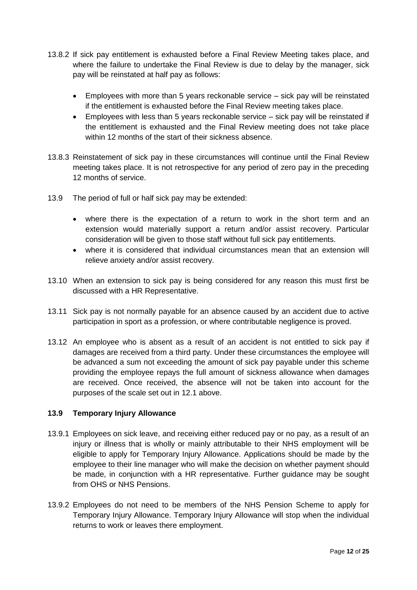- 13.8.2 If sick pay entitlement is exhausted before a Final Review Meeting takes place, and where the failure to undertake the Final Review is due to delay by the manager, sick pay will be reinstated at half pay as follows:
	- Employees with more than 5 years reckonable service sick pay will be reinstated if the entitlement is exhausted before the Final Review meeting takes place.
	- Employees with less than 5 years reckonable service sick pay will be reinstated if the entitlement is exhausted and the Final Review meeting does not take place within 12 months of the start of their sickness absence.
- 13.8.3 Reinstatement of sick pay in these circumstances will continue until the Final Review meeting takes place. It is not retrospective for any period of zero pay in the preceding 12 months of service.
- 13.9 The period of full or half sick pay may be extended:
	- where there is the expectation of a return to work in the short term and an extension would materially support a return and/or assist recovery. Particular consideration will be given to those staff without full sick pay entitlements.
	- where it is considered that individual circumstances mean that an extension will relieve anxiety and/or assist recovery.
- 13.10 When an extension to sick pay is being considered for any reason this must first be discussed with a HR Representative.
- 13.11 Sick pay is not normally payable for an absence caused by an accident due to active participation in sport as a profession, or where contributable negligence is proved.
- 13.12 An employee who is absent as a result of an accident is not entitled to sick pay if damages are received from a third party. Under these circumstances the employee will be advanced a sum not exceeding the amount of sick pay payable under this scheme providing the employee repays the full amount of sickness allowance when damages are received. Once received, the absence will not be taken into account for the purposes of the scale set out in 12.1 above.

## **13.9 Temporary Injury Allowance**

- 13.9.1 Employees on sick leave, and receiving either reduced pay or no pay, as a result of an injury or illness that is wholly or mainly attributable to their NHS employment will be eligible to apply for Temporary Injury Allowance. Applications should be made by the employee to their line manager who will make the decision on whether payment should be made, in conjunction with a HR representative. Further guidance may be sought from OHS or NHS Pensions.
- 13.9.2 Employees do not need to be members of the NHS Pension Scheme to apply for Temporary Injury Allowance. Temporary Injury Allowance will stop when the individual returns to work or leaves there employment.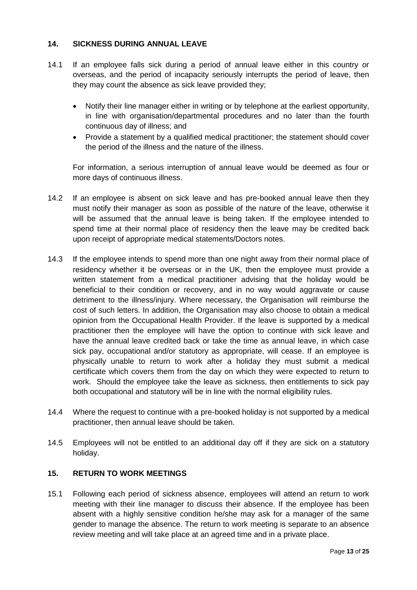#### **14. SICKNESS DURING ANNUAL LEAVE**

- 14.1 If an employee falls sick during a period of annual leave either in this country or overseas, and the period of incapacity seriously interrupts the period of leave, then they may count the absence as sick leave provided they;
	- Notify their line manager either in writing or by telephone at the earliest opportunity, in line with organisation/departmental procedures and no later than the fourth continuous day of illness; and
	- Provide a statement by a qualified medical practitioner; the statement should cover the period of the illness and the nature of the illness.

For information, a serious interruption of annual leave would be deemed as four or more days of continuous illness.

- 14.2 If an employee is absent on sick leave and has pre-booked annual leave then they must notify their manager as soon as possible of the nature of the leave, otherwise it will be assumed that the annual leave is being taken. If the employee intended to spend time at their normal place of residency then the leave may be credited back upon receipt of appropriate medical statements/Doctors notes.
- 14.3 If the employee intends to spend more than one night away from their normal place of residency whether it be overseas or in the UK, then the employee must provide a written statement from a medical practitioner advising that the holiday would be beneficial to their condition or recovery, and in no way would aggravate or cause detriment to the illness/injury. Where necessary, the Organisation will reimburse the cost of such letters. In addition, the Organisation may also choose to obtain a medical opinion from the Occupational Health Provider. If the leave is supported by a medical practitioner then the employee will have the option to continue with sick leave and have the annual leave credited back or take the time as annual leave, in which case sick pay, occupational and/or statutory as appropriate, will cease. If an employee is physically unable to return to work after a holiday they must submit a medical certificate which covers them from the day on which they were expected to return to work. Should the employee take the leave as sickness, then entitlements to sick pay both occupational and statutory will be in line with the normal eligibility rules.
- 14.4 Where the request to continue with a pre-booked holiday is not supported by a medical practitioner, then annual leave should be taken.
- 14.5 Employees will not be entitled to an additional day off if they are sick on a statutory holiday.

#### **15. RETURN TO WORK MEETINGS**

15.1 Following each period of sickness absence, employees will attend an return to work meeting with their line manager to discuss their absence. If the employee has been absent with a highly sensitive condition he/she may ask for a manager of the same gender to manage the absence. The return to work meeting is separate to an absence review meeting and will take place at an agreed time and in a private place.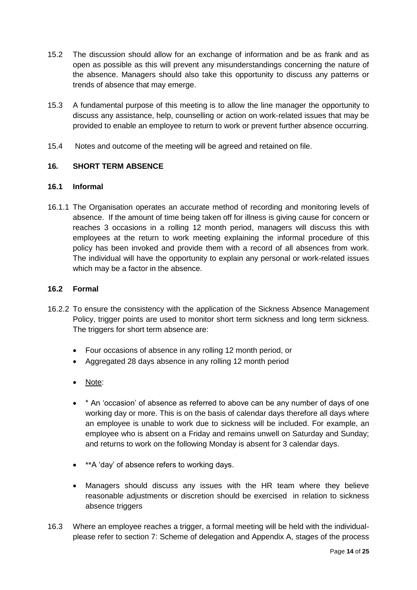- 15.2 The discussion should allow for an exchange of information and be as frank and as open as possible as this will prevent any misunderstandings concerning the nature of the absence. Managers should also take this opportunity to discuss any patterns or trends of absence that may emerge.
- 15.3 A fundamental purpose of this meeting is to allow the line manager the opportunity to discuss any assistance, help, counselling or action on work-related issues that may be provided to enable an employee to return to work or prevent further absence occurring.
- 15.4 Notes and outcome of the meeting will be agreed and retained on file.

#### **16***.* **SHORT TERM ABSENCE**

#### **16.1 Informal**

16.1.1 The Organisation operates an accurate method of recording and monitoring levels of absence. If the amount of time being taken off for illness is giving cause for concern or reaches 3 occasions in a rolling 12 month period, managers will discuss this with employees at the return to work meeting explaining the informal procedure of this policy has been invoked and provide them with a record of all absences from work. The individual will have the opportunity to explain any personal or work-related issues which may be a factor in the absence.

#### **16.2 Formal**

- 16.2.2 To ensure the consistency with the application of the Sickness Absence Management Policy, trigger points are used to monitor short term sickness and long term sickness. The triggers for short term absence are:
	- Four occasions of absence in any rolling 12 month period, or
	- Aggregated 28 days absence in any rolling 12 month period
	- Note:
	- \* An 'occasion' of absence as referred to above can be any number of days of one working day or more. This is on the basis of calendar days therefore all days where an employee is unable to work due to sickness will be included. For example, an employee who is absent on a Friday and remains unwell on Saturday and Sunday; and returns to work on the following Monday is absent for 3 calendar days.
	- \*\*A 'day' of absence refers to working days.
	- Managers should discuss any issues with the HR team where they believe reasonable adjustments or discretion should be exercised in relation to sickness absence triggers
- 16.3 Where an employee reaches a trigger, a formal meeting will be held with the individualplease refer to section 7: Scheme of delegation and Appendix A, stages of the process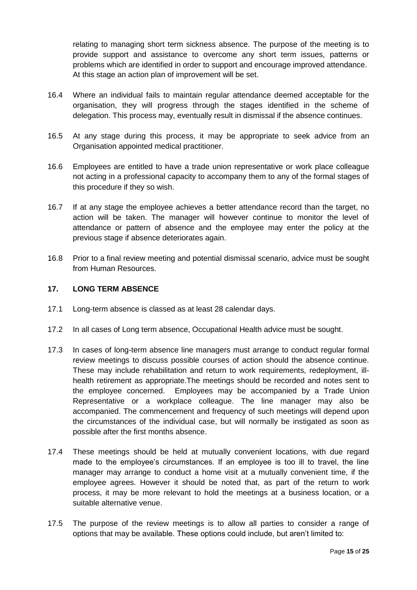relating to managing short term sickness absence. The purpose of the meeting is to provide support and assistance to overcome any short term issues, patterns or problems which are identified in order to support and encourage improved attendance. At this stage an action plan of improvement will be set.

- 16.4 Where an individual fails to maintain regular attendance deemed acceptable for the organisation, they will progress through the stages identified in the scheme of delegation. This process may, eventually result in dismissal if the absence continues.
- 16.5 At any stage during this process, it may be appropriate to seek advice from an Organisation appointed medical practitioner.
- 16.6 Employees are entitled to have a trade union representative or work place colleague not acting in a professional capacity to accompany them to any of the formal stages of this procedure if they so wish.
- 16.7 If at any stage the employee achieves a better attendance record than the target, no action will be taken. The manager will however continue to monitor the level of attendance or pattern of absence and the employee may enter the policy at the previous stage if absence deteriorates again.
- 16.8 Prior to a final review meeting and potential dismissal scenario, advice must be sought from Human Resources.

#### **17. LONG TERM ABSENCE**

- 17.1 Long-term absence is classed as at least 28 calendar days.
- 17.2 In all cases of Long term absence, Occupational Health advice must be sought.
- 17.3 In cases of long-term absence line managers must arrange to conduct regular formal review meetings to discuss possible courses of action should the absence continue. These may include rehabilitation and return to work requirements, redeployment, illhealth retirement as appropriate.The meetings should be recorded and notes sent to the employee concerned. Employees may be accompanied by a Trade Union Representative or a workplace colleague. The line manager may also be accompanied. The commencement and frequency of such meetings will depend upon the circumstances of the individual case, but will normally be instigated as soon as possible after the first months absence.
- 17.4 These meetings should be held at mutually convenient locations, with due regard made to the employee's circumstances. If an employee is too ill to travel, the line manager may arrange to conduct a home visit at a mutually convenient time, if the employee agrees. However it should be noted that, as part of the return to work process, it may be more relevant to hold the meetings at a business location, or a suitable alternative venue.
- 17.5 The purpose of the review meetings is to allow all parties to consider a range of options that may be available. These options could include, but aren't limited to: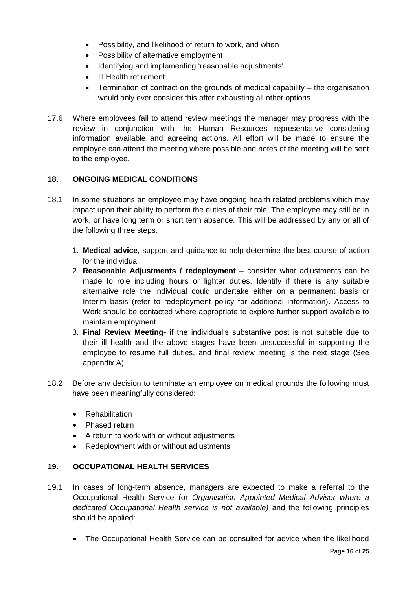- Possibility, and likelihood of return to work, and when
- Possibility of alternative employment
- Identifying and implementing 'reasonable adjustments'
- Ill Health retirement
- Termination of contract on the grounds of medical capability the organisation would only ever consider this after exhausting all other options
- 17.6 Where employees fail to attend review meetings the manager may progress with the review in conjunction with the Human Resources representative considering information available and agreeing actions. All effort will be made to ensure the employee can attend the meeting where possible and notes of the meeting will be sent to the employee.

#### **18. ONGOING MEDICAL CONDITIONS**

- 18.1 In some situations an employee may have ongoing health related problems which may impact upon their ability to perform the duties of their role. The employee may still be in work, or have long term or short term absence. This will be addressed by any or all of the following three steps.
	- 1. **Medical advice**, support and guidance to help determine the best course of action for the individual
	- 2. **Reasonable Adjustments / redeployment** consider what adjustments can be made to role including hours or lighter duties. Identify if there is any suitable alternative role the individual could undertake either on a permanent basis or Interim basis (refer to redeployment policy for additional information). Access to Work should be contacted where appropriate to explore further support available to maintain employment.
	- 3. **Final Review Meeting-** if the individual's substantive post is not suitable due to their ill health and the above stages have been unsuccessful in supporting the employee to resume full duties, and final review meeting is the next stage (See appendix A)
- 18.2 Before any decision to terminate an employee on medical grounds the following must have been meaningfully considered:
	- Rehabilitation
	- Phased return
	- A return to work with or without adjustments
	- Redeployment with or without adjustments

#### **19. OCCUPATIONAL HEALTH SERVICES**

- 19.1 In cases of long-term absence, managers are expected to make a referral to the Occupational Health Service (or *Organisation Appointed Medical Advisor where a dedicated Occupational Health service is not available)* and the following principles should be applied:
	- The Occupational Health Service can be consulted for advice when the likelihood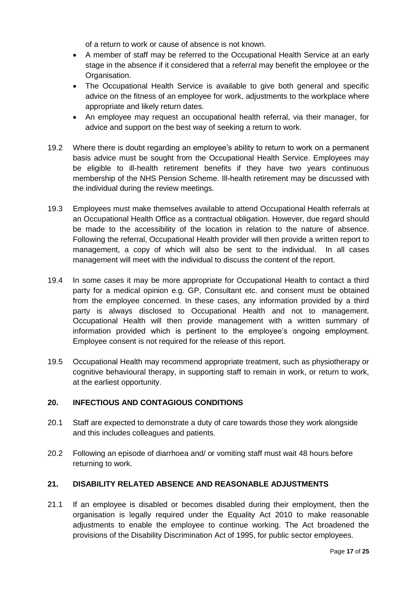of a return to work or cause of absence is not known.

- A member of staff may be referred to the Occupational Health Service at an early stage in the absence if it considered that a referral may benefit the employee or the Organisation.
- The Occupational Health Service is available to give both general and specific advice on the fitness of an employee for work, adjustments to the workplace where appropriate and likely return dates.
- An employee may request an occupational health referral, via their manager, for advice and support on the best way of seeking a return to work.
- 19.2 Where there is doubt regarding an employee's ability to return to work on a permanent basis advice must be sought from the Occupational Health Service. Employees may be eligible to ill-health retirement benefits if they have two years continuous membership of the NHS Pension Scheme. Ill-health retirement may be discussed with the individual during the review meetings.
- 19.3 Employees must make themselves available to attend Occupational Health referrals at an Occupational Health Office as a contractual obligation. However, due regard should be made to the accessibility of the location in relation to the nature of absence. Following the referral, Occupational Health provider will then provide a written report to management, a copy of which will also be sent to the individual. In all cases management will meet with the individual to discuss the content of the report.
- 19.4 In some cases it may be more appropriate for Occupational Health to contact a third party for a medical opinion e.g. GP, Consultant etc. and consent must be obtained from the employee concerned. In these cases, any information provided by a third party is always disclosed to Occupational Health and not to management. Occupational Health will then provide management with a written summary of information provided which is pertinent to the employee's ongoing employment. Employee consent is not required for the release of this report.
- 19.5 Occupational Health may recommend appropriate treatment, such as physiotherapy or cognitive behavioural therapy, in supporting staff to remain in work, or return to work, at the earliest opportunity.

#### **20. INFECTIOUS AND CONTAGIOUS CONDITIONS**

- 20.1 Staff are expected to demonstrate a duty of care towards those they work alongside and this includes colleagues and patients.
- 20.2 Following an episode of diarrhoea and/ or vomiting staff must wait 48 hours before returning to work.

#### **21. DISABILITY RELATED ABSENCE AND REASONABLE ADJUSTMENTS**

21.1 If an employee is disabled or becomes disabled during their employment, then the organisation is legally required under the Equality Act 2010 to make reasonable adjustments to enable the employee to continue working. The Act broadened the provisions of the Disability Discrimination Act of 1995, for public sector employees.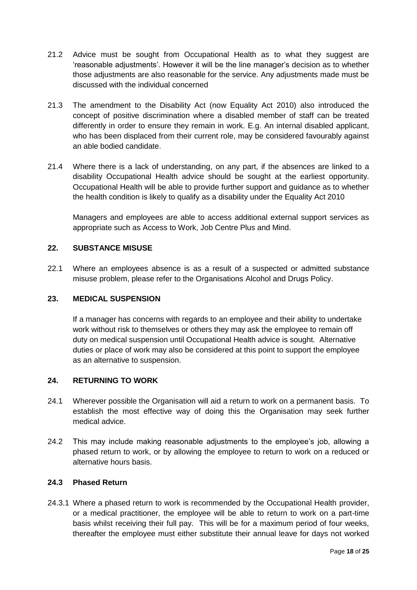- 21.2 Advice must be sought from Occupational Health as to what they suggest are 'reasonable adjustments'. However it will be the line manager's decision as to whether those adjustments are also reasonable for the service. Any adjustments made must be discussed with the individual concerned
- 21.3 The amendment to the Disability Act (now Equality Act 2010) also introduced the concept of positive discrimination where a disabled member of staff can be treated differently in order to ensure they remain in work. E.g. An internal disabled applicant, who has been displaced from their current role, may be considered favourably against an able bodied candidate.
- 21.4 Where there is a lack of understanding, on any part, if the absences are linked to a disability Occupational Health advice should be sought at the earliest opportunity. Occupational Health will be able to provide further support and guidance as to whether the health condition is likely to qualify as a disability under the Equality Act 2010

Managers and employees are able to access additional external support services as appropriate such as Access to Work, Job Centre Plus and Mind.

#### **22. SUBSTANCE MISUSE**

22.1 Where an employees absence is as a result of a suspected or admitted substance misuse problem, please refer to the Organisations Alcohol and Drugs Policy.

#### **23. MEDICAL SUSPENSION**

If a manager has concerns with regards to an employee and their ability to undertake work without risk to themselves or others they may ask the employee to remain off duty on medical suspension until Occupational Health advice is sought. Alternative duties or place of work may also be considered at this point to support the employee as an alternative to suspension.

#### **24. RETURNING TO WORK**

- 24.1 Wherever possible the Organisation will aid a return to work on a permanent basis. To establish the most effective way of doing this the Organisation may seek further medical advice.
- 24.2 This may include making reasonable adjustments to the employee's job, allowing a phased return to work, or by allowing the employee to return to work on a reduced or alternative hours basis.

#### **24.3 Phased Return**

24.3.1 Where a phased return to work is recommended by the Occupational Health provider, or a medical practitioner, the employee will be able to return to work on a part-time basis whilst receiving their full pay. This will be for a maximum period of four weeks, thereafter the employee must either substitute their annual leave for days not worked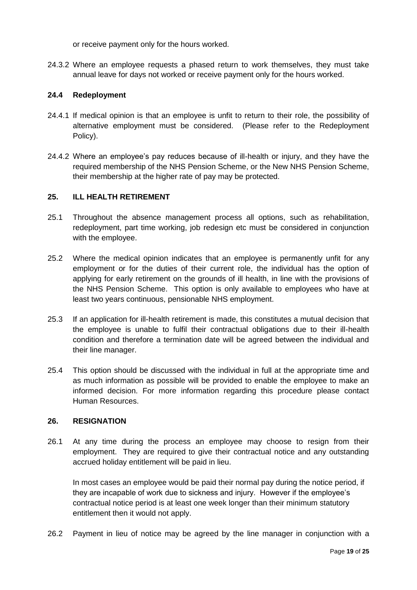or receive payment only for the hours worked.

24.3.2 Where an employee requests a phased return to work themselves, they must take annual leave for days not worked or receive payment only for the hours worked.

#### **24.4 Redeployment**

- 24.4.1 If medical opinion is that an employee is unfit to return to their role, the possibility of alternative employment must be considered. (Please refer to the Redeployment Policy).
- 24.4.2 Where an employee's pay reduces because of ill-health or injury, and they have the required membership of the NHS Pension Scheme, or the New NHS Pension Scheme, their membership at the higher rate of pay may be protected.

#### **25. ILL HEALTH RETIREMENT**

- 25.1 Throughout the absence management process all options, such as rehabilitation, redeployment, part time working, job redesign etc must be considered in conjunction with the employee.
- 25.2 Where the medical opinion indicates that an employee is permanently unfit for any employment or for the duties of their current role, the individual has the option of applying for early retirement on the grounds of ill health, in line with the provisions of the NHS Pension Scheme. This option is only available to employees who have at least two years continuous, pensionable NHS employment.
- 25.3 If an application for ill-health retirement is made, this constitutes a mutual decision that the employee is unable to fulfil their contractual obligations due to their ill-health condition and therefore a termination date will be agreed between the individual and their line manager.
- 25.4 This option should be discussed with the individual in full at the appropriate time and as much information as possible will be provided to enable the employee to make an informed decision. For more information regarding this procedure please contact Human Resources.

#### **26. RESIGNATION**

26.1 At any time during the process an employee may choose to resign from their employment. They are required to give their contractual notice and any outstanding accrued holiday entitlement will be paid in lieu.

In most cases an employee would be paid their normal pay during the notice period, if they are incapable of work due to sickness and injury. However if the employee's contractual notice period is at least one week longer than their minimum statutory entitlement then it would not apply.

26.2 Payment in lieu of notice may be agreed by the line manager in conjunction with a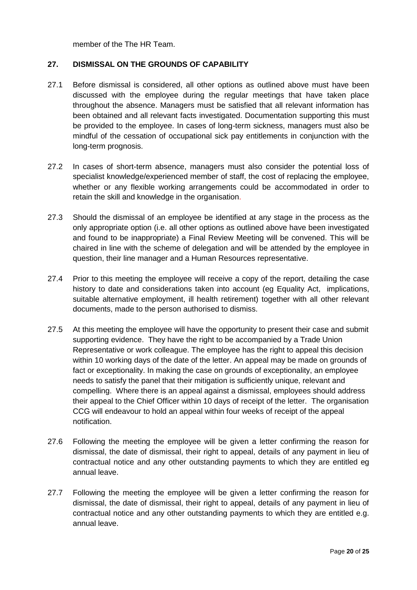member of the The HR Team.

#### **27. DISMISSAL ON THE GROUNDS OF CAPABILITY**

- 27.1 Before dismissal is considered, all other options as outlined above must have been discussed with the employee during the regular meetings that have taken place throughout the absence. Managers must be satisfied that all relevant information has been obtained and all relevant facts investigated. Documentation supporting this must be provided to the employee. In cases of long-term sickness, managers must also be mindful of the cessation of occupational sick pay entitlements in conjunction with the long-term prognosis.
- 27.2 In cases of short-term absence, managers must also consider the potential loss of specialist knowledge/experienced member of staff, the cost of replacing the employee, whether or any flexible working arrangements could be accommodated in order to retain the skill and knowledge in the organisation.
- 27.3 Should the dismissal of an employee be identified at any stage in the process as the only appropriate option (i.e. all other options as outlined above have been investigated and found to be inappropriate) a Final Review Meeting will be convened. This will be chaired in line with the scheme of delegation and will be attended by the employee in question, their line manager and a Human Resources representative.
- 27.4 Prior to this meeting the employee will receive a copy of the report, detailing the case history to date and considerations taken into account (eg Equality Act, implications, suitable alternative employment, ill health retirement) together with all other relevant documents, made to the person authorised to dismiss.
- 27.5 At this meeting the employee will have the opportunity to present their case and submit supporting evidence. They have the right to be accompanied by a Trade Union Representative or work colleague. The employee has the right to appeal this decision within 10 working days of the date of the letter. An appeal may be made on grounds of fact or exceptionality. In making the case on grounds of exceptionality, an employee needs to satisfy the panel that their mitigation is sufficiently unique, relevant and compelling. Where there is an appeal against a dismissal, employees should address their appeal to the Chief Officer within 10 days of receipt of the letter. The organisation CCG will endeavour to hold an appeal within four weeks of receipt of the appeal notification.
- 27.6 Following the meeting the employee will be given a letter confirming the reason for dismissal, the date of dismissal, their right to appeal, details of any payment in lieu of contractual notice and any other outstanding payments to which they are entitled eg annual leave.
- 27.7 Following the meeting the employee will be given a letter confirming the reason for dismissal, the date of dismissal, their right to appeal, details of any payment in lieu of contractual notice and any other outstanding payments to which they are entitled e.g. annual leave.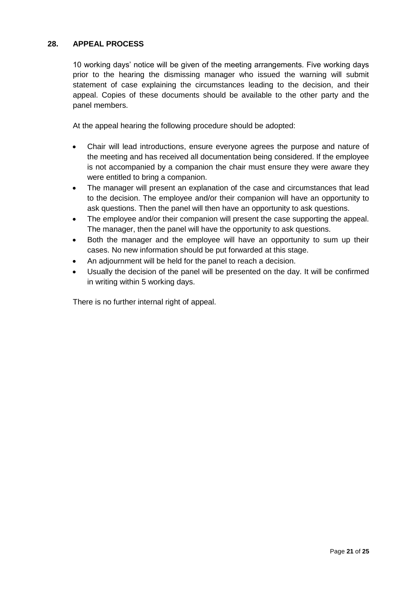## **28. APPEAL PROCESS**

10 working days' notice will be given of the meeting arrangements. Five working days prior to the hearing the dismissing manager who issued the warning will submit statement of case explaining the circumstances leading to the decision, and their appeal. Copies of these documents should be available to the other party and the panel members.

At the appeal hearing the following procedure should be adopted:

- Chair will lead introductions, ensure everyone agrees the purpose and nature of the meeting and has received all documentation being considered. If the employee is not accompanied by a companion the chair must ensure they were aware they were entitled to bring a companion.
- The manager will present an explanation of the case and circumstances that lead to the decision. The employee and/or their companion will have an opportunity to ask questions. Then the panel will then have an opportunity to ask questions.
- The employee and/or their companion will present the case supporting the appeal. The manager, then the panel will have the opportunity to ask questions.
- Both the manager and the employee will have an opportunity to sum up their cases. No new information should be put forwarded at this stage.
- An adjournment will be held for the panel to reach a decision.
- Usually the decision of the panel will be presented on the day. It will be confirmed in writing within 5 working days.

There is no further internal right of appeal.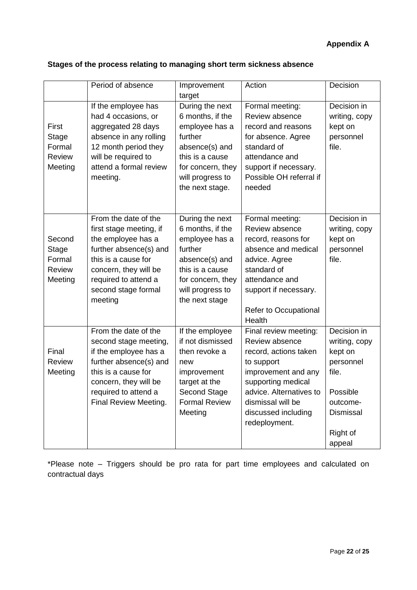# **Appendix A**

# **Stages of the process relating to managing short term sickness absence**

|                                                       | Period of absence                                                                                                                                                                                         | Improvement<br>target                                                                                                                                             | Action                                                                                                                                                                                                              | Decision                                                                                                                        |
|-------------------------------------------------------|-----------------------------------------------------------------------------------------------------------------------------------------------------------------------------------------------------------|-------------------------------------------------------------------------------------------------------------------------------------------------------------------|---------------------------------------------------------------------------------------------------------------------------------------------------------------------------------------------------------------------|---------------------------------------------------------------------------------------------------------------------------------|
| First<br><b>Stage</b><br>Formal<br>Review<br>Meeting  | If the employee has<br>had 4 occasions, or<br>aggregated 28 days<br>absence in any rolling<br>12 month period they<br>will be required to<br>attend a formal review<br>meeting.                           | During the next<br>6 months, if the<br>employee has a<br>further<br>absence(s) and<br>this is a cause<br>for concern, they<br>will progress to<br>the next stage. | Formal meeting:<br>Review absence<br>record and reasons<br>for absence. Agree<br>standard of<br>attendance and<br>support if necessary.<br>Possible OH referral if<br>needed                                        | Decision in<br>writing, copy<br>kept on<br>personnel<br>file.                                                                   |
| Second<br>Stage<br>Formal<br><b>Review</b><br>Meeting | From the date of the<br>first stage meeting, if<br>the employee has a<br>further absence(s) and<br>this is a cause for<br>concern, they will be<br>required to attend a<br>second stage formal<br>meeting | During the next<br>6 months, if the<br>employee has a<br>further<br>absence(s) and<br>this is a cause<br>for concern, they<br>will progress to<br>the next stage  | Formal meeting:<br>Review absence<br>record, reasons for<br>absence and medical<br>advice. Agree<br>standard of<br>attendance and<br>support if necessary.<br>Refer to Occupational<br>Health                       | Decision in<br>writing, copy<br>kept on<br>personnel<br>file.                                                                   |
| Final<br>Review<br>Meeting                            | From the date of the<br>second stage meeting,<br>if the employee has a<br>further absence(s) and<br>this is a cause for<br>concern, they will be<br>required to attend a<br>Final Review Meeting.         | If the employee<br>if not dismissed<br>then revoke a<br>new<br>improvement<br>target at the<br>Second Stage<br><b>Formal Review</b><br>Meeting                    | Final review meeting:<br>Review absence<br>record, actions taken<br>to support<br>improvement and any<br>supporting medical<br>advice. Alternatives to<br>dismissal will be<br>discussed including<br>redeployment. | Decision in<br>writing, copy<br>kept on<br>personnel<br>file.<br>Possible<br>outcome-<br><b>Dismissal</b><br>Right of<br>appeal |

\*Please note – Triggers should be pro rata for part time employees and calculated on contractual days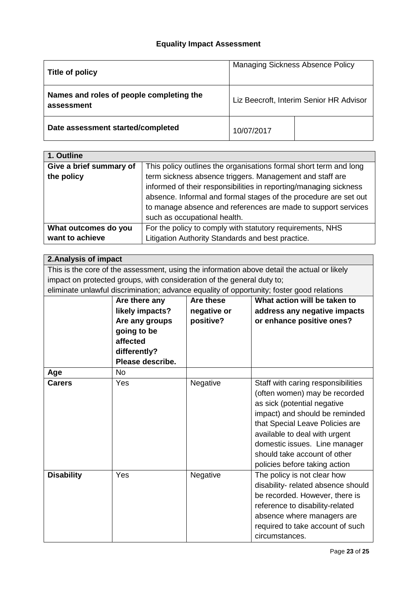# **Equality Impact Assessment**

| Title of policy                                        | <b>Managing Sickness Absence Policy</b> |  |
|--------------------------------------------------------|-----------------------------------------|--|
| Names and roles of people completing the<br>assessment | Liz Beecroft, Interim Senior HR Advisor |  |
| Date assessment started/completed                      | 10/07/2017                              |  |

| 1. Outline              |                                                                   |  |  |
|-------------------------|-------------------------------------------------------------------|--|--|
| Give a brief summary of | This policy outlines the organisations formal short term and long |  |  |
| the policy              | term sickness absence triggers. Management and staff are          |  |  |
|                         | informed of their responsibilities in reporting/managing sickness |  |  |
|                         | absence. Informal and formal stages of the procedure are set out  |  |  |
|                         | to manage absence and references are made to support services     |  |  |
|                         | such as occupational health.                                      |  |  |
| What outcomes do you    | For the policy to comply with statutory requirements, NHS         |  |  |
| want to achieve         | Litigation Authority Standards and best practice.                 |  |  |

## **2.Analysis of impact**

This is the core of the assessment, using the information above detail the actual or likely impact on protected groups, with consideration of the general duty to;

| eliminate unlawful discrimination; advance equality of opportunity; foster good relations |                  |                  |                                    |  |
|-------------------------------------------------------------------------------------------|------------------|------------------|------------------------------------|--|
|                                                                                           | Are there any    | <b>Are these</b> | What action will be taken to       |  |
|                                                                                           | likely impacts?  | negative or      | address any negative impacts       |  |
|                                                                                           | Are any groups   | positive?        | or enhance positive ones?          |  |
|                                                                                           | going to be      |                  |                                    |  |
|                                                                                           | affected         |                  |                                    |  |
|                                                                                           | differently?     |                  |                                    |  |
|                                                                                           | Please describe. |                  |                                    |  |
| Age                                                                                       | No.              |                  |                                    |  |
| <b>Carers</b>                                                                             | Yes              | Negative         | Staff with caring responsibilities |  |
|                                                                                           |                  |                  | (often women) may be recorded      |  |
|                                                                                           |                  |                  | as sick (potential negative        |  |
|                                                                                           |                  |                  | impact) and should be reminded     |  |
|                                                                                           |                  |                  | that Special Leave Policies are    |  |
|                                                                                           |                  |                  | available to deal with urgent      |  |
|                                                                                           |                  |                  | domestic issues. Line manager      |  |
|                                                                                           |                  |                  | should take account of other       |  |
|                                                                                           |                  |                  | policies before taking action      |  |
| <b>Disability</b>                                                                         | Yes              | Negative         | The policy is not clear how        |  |
|                                                                                           |                  |                  | disability- related absence should |  |
|                                                                                           |                  |                  | be recorded. However, there is     |  |
|                                                                                           |                  |                  | reference to disability-related    |  |
|                                                                                           |                  |                  | absence where managers are         |  |
|                                                                                           |                  |                  | required to take account of such   |  |
|                                                                                           |                  |                  | circumstances.                     |  |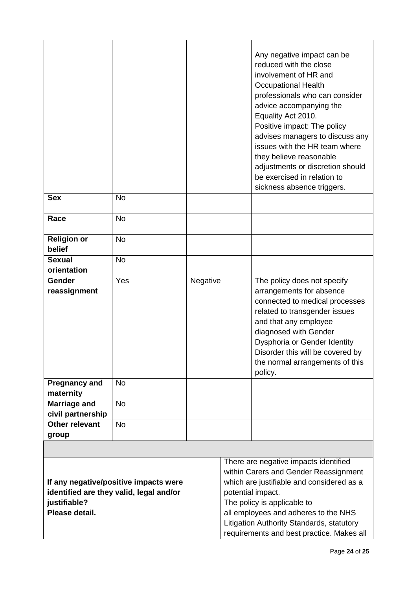|                                          |                                                                                  |          | Any negative impact can be<br>reduced with the close<br>involvement of HR and<br><b>Occupational Health</b><br>professionals who can consider<br>advice accompanying the<br>Equality Act 2010.<br>Positive impact: The policy<br>advises managers to discuss any<br>issues with the HR team where<br>they believe reasonable<br>adjustments or discretion should<br>be exercised in relation to<br>sickness absence triggers. |
|------------------------------------------|----------------------------------------------------------------------------------|----------|-------------------------------------------------------------------------------------------------------------------------------------------------------------------------------------------------------------------------------------------------------------------------------------------------------------------------------------------------------------------------------------------------------------------------------|
| <b>Sex</b>                               | <b>No</b>                                                                        |          |                                                                                                                                                                                                                                                                                                                                                                                                                               |
| Race                                     | <b>No</b>                                                                        |          |                                                                                                                                                                                                                                                                                                                                                                                                                               |
| <b>Religion or</b><br>belief             | <b>No</b>                                                                        |          |                                                                                                                                                                                                                                                                                                                                                                                                                               |
| <b>Sexual</b><br>orientation             | <b>No</b>                                                                        |          |                                                                                                                                                                                                                                                                                                                                                                                                                               |
| Gender<br>reassignment                   | Yes                                                                              | Negative | The policy does not specify<br>arrangements for absence<br>connected to medical processes<br>related to transgender issues<br>and that any employee<br>diagnosed with Gender<br>Dysphoria or Gender Identity<br>Disorder this will be covered by<br>the normal arrangements of this<br>policy.                                                                                                                                |
| <b>Pregnancy and</b><br>maternity        | <b>No</b>                                                                        |          |                                                                                                                                                                                                                                                                                                                                                                                                                               |
| <b>Marriage and</b><br>civil partnership | <b>No</b>                                                                        |          |                                                                                                                                                                                                                                                                                                                                                                                                                               |
| Other relevant<br>group                  | <b>No</b>                                                                        |          |                                                                                                                                                                                                                                                                                                                                                                                                                               |
|                                          |                                                                                  |          |                                                                                                                                                                                                                                                                                                                                                                                                                               |
| justifiable?<br>Please detail.           | If any negative/positive impacts were<br>identified are they valid, legal and/or |          | There are negative impacts identified<br>within Carers and Gender Reassignment<br>which are justifiable and considered as a<br>potential impact.<br>The policy is applicable to<br>all employees and adheres to the NHS<br>Litigation Authority Standards, statutory<br>requirements and best practice. Makes all                                                                                                             |